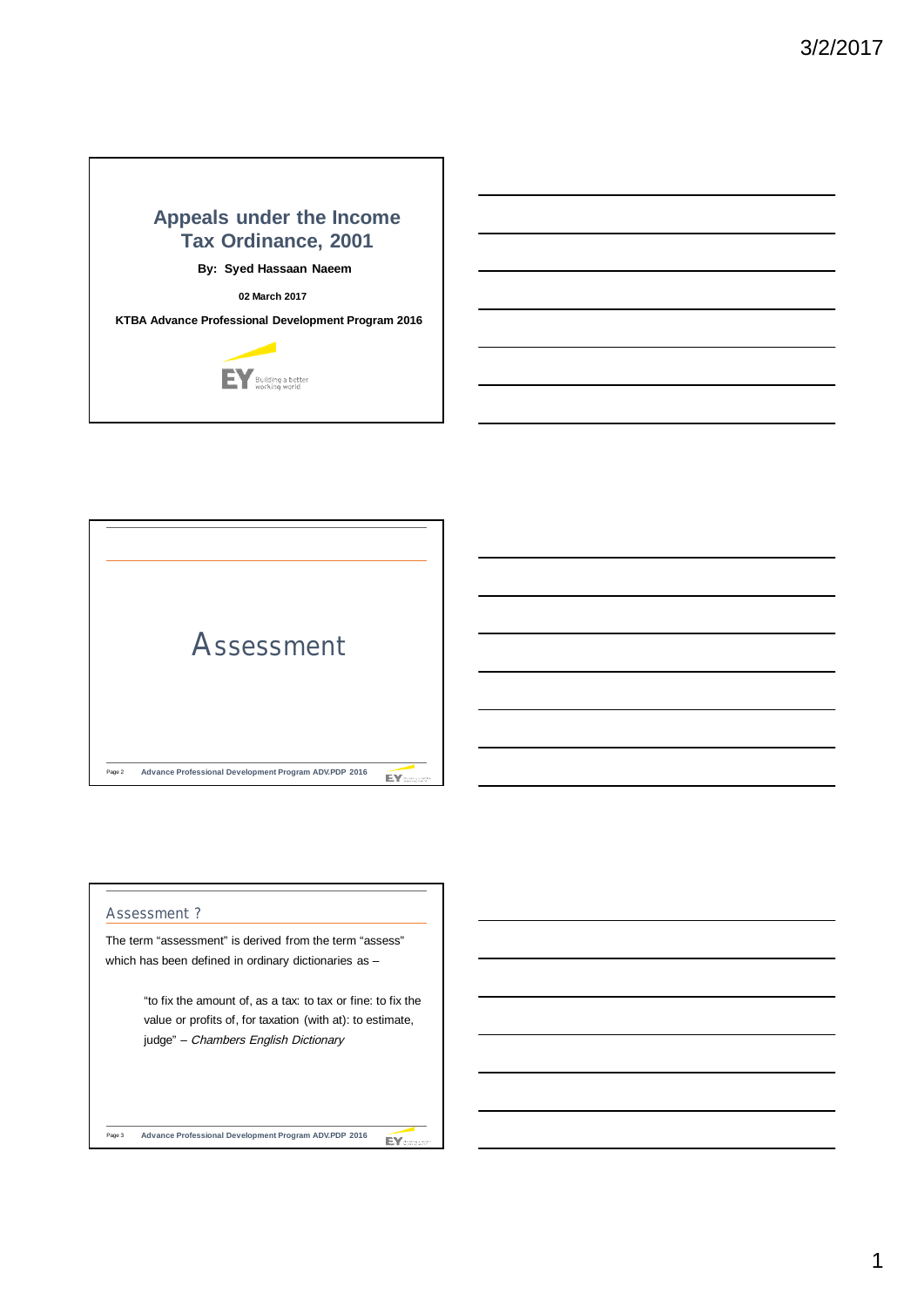# **Appeals under the Income Tax Ordinance, 2001**

**By: Syed Hassaan Naeem**

**02 March 2017**

**KTBA Advance Professional Development Program 2016**





## **Assessment ?**

The term "assessment" is derived from the term "assess" which has been defined in ordinary dictionaries as -

> "to fix the amount of, as a tax: to tax or fine: to fix the value or profits of, for taxation (with at): to estimate, judge" - Chambers English Dictionary

Page 3 **Advance Professional Development Program ADV.PDP 2016** EY: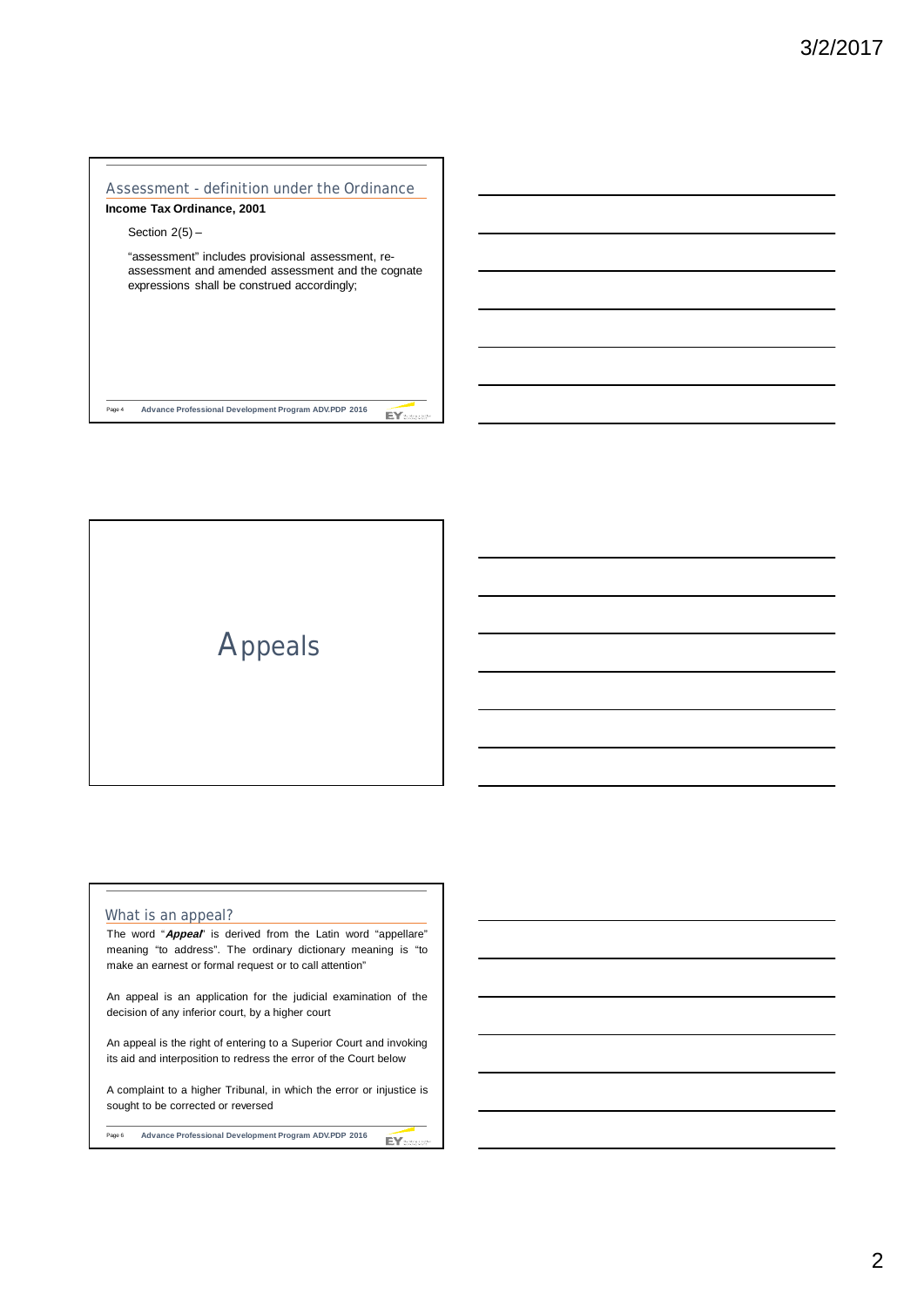## **Assessment - definition under the Ordinance**

## **Income Tax Ordinance, 2001**

Section  $2(5)$  –

"assessment" includes provisional assessment, reassessment and amended assessment and the cognate expressions shall be construed accordingly;

Page 4 **Advance Professional Development Program ADV.PDP 2016** EY<sub>man</sub>

**Appeals**

#### **What is an appeal?**

The word "**Appeal**" is derived from the Latin word "appellare" meaning "to address". The ordinary dictionary meaning is "to make an earnest or formal request or to call attention"

An appeal is an application for the judicial examination of the decision of any inferior court, by a higher court

An appeal is the right of entering to a Superior Court and invoking its aid and interposition to redress the error of the Court below

A complaint to a higher Tribunal, in which the error or injustice is sought to be corrected or reversed

Page 6 **Advance Professional Development Program ADV.PDP 2016** EY: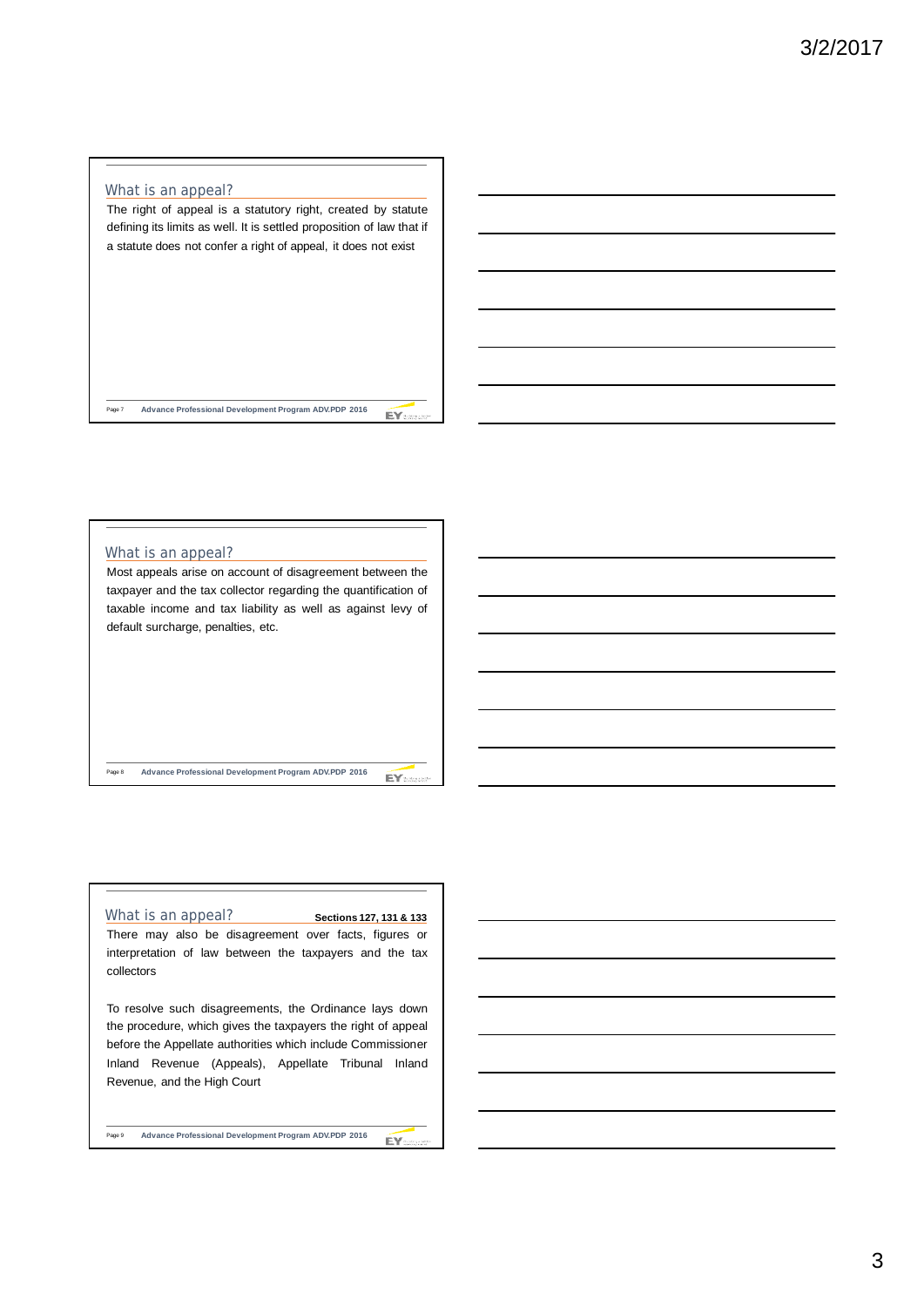#### **What is an appeal?**

The right of appeal is a statutory right, created by statute defining its limits as well. It is settled proposition of law that if a statute does not confer a right of appeal, it does not exist

Page 7 **Advance Professional Development Program ADV.PDP 2016** EY<sub>can</sub>

#### **What is an appeal?** Most appeals arise on account of disagreement between the

taxpayer and the tax collector regarding the quantification of taxable income and tax liability as well as against levy of default surcharge, penalties, etc.

Page 8 **Advance Professional Development Program ADV.PDP 2016**

#### **What is an appeal?**

There may also be disagreement over facts, figures or interpretation of law between the taxpayers and the tax collectors

**Sections 127, 131 & 133**

EY:

 $EY$ 

To resolve such disagreements, the Ordinance lays down the procedure, which gives the taxpayers the right of appeal before the Appellate authorities which include Commissioner Inland Revenue (Appeals), Appellate Tribunal Inland Revenue, and the High Court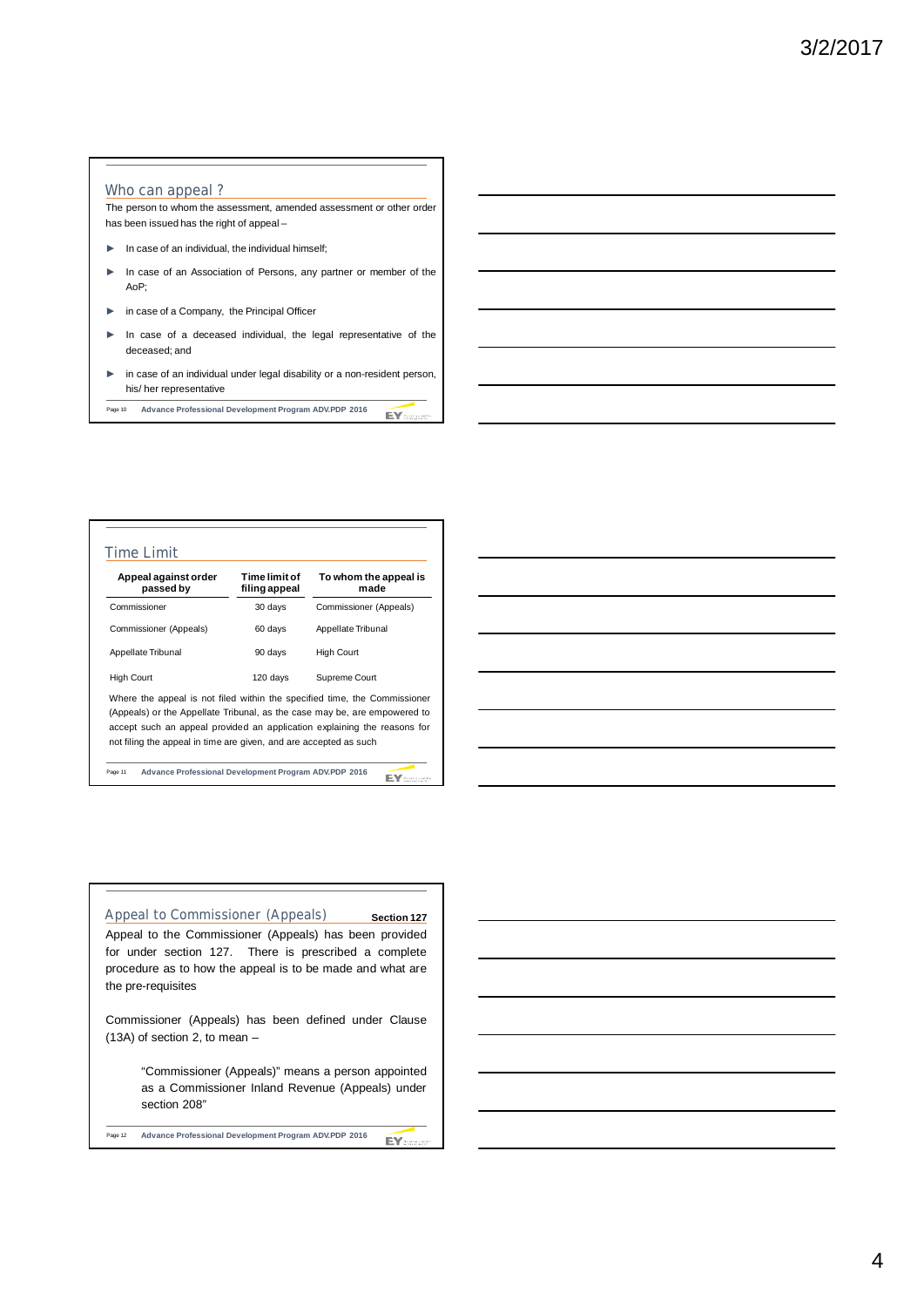#### **Who can appeal ?**

The person to whom the assessment, amended assessment or other order has been issued has the right of appeal –

- ► In case of an individual, the individual himself;
- ► In case of an Association of Persons, any partner or member of the AoP;
- ► in case of a Company, the Principal Officer
- In case of a deceased individual, the legal representative of the deceased; and
- ► in case of an individual under legal disability or a non-resident person, his/ her representative
- Page 10 **Advance Professional Development Program ADV.PDP 2016** EY

| Appeal against order<br>passed by                                                                                                                                                                                                  | Time limit of<br>filing appeal | To whom the appeal is<br>made |
|------------------------------------------------------------------------------------------------------------------------------------------------------------------------------------------------------------------------------------|--------------------------------|-------------------------------|
| Commissioner                                                                                                                                                                                                                       | 30 days                        | Commissioner (Appeals)        |
| Commissioner (Appeals)                                                                                                                                                                                                             | 60 days                        | Appellate Tribunal            |
| Appellate Tribunal                                                                                                                                                                                                                 | 90 days                        | <b>High Court</b>             |
| <b>High Court</b>                                                                                                                                                                                                                  | 120 days                       | Supreme Court                 |
| Where the appeal is not filed within the specified time, the Commissioner<br>(Appeals) or the Appellate Tribunal, as the case may be, are empowered to<br>accept such an appeal provided an application explaining the reasons for |                                |                               |

Page 11 **Advance Professional Development Program ADV.PDP 2016**

EY:

#### **Appeal to Commissioner (Appeals) Section 127**

Appeal to the Commissioner (Appeals) has been provided for under section 127. There is prescribed a complete procedure as to how the appeal is to be made and what are the pre-requisites

Commissioner (Appeals) has been defined under Clause (13A) of section 2, to mean –

> "Commissioner (Appeals)" means a person appointed as a Commissioner Inland Revenue (Appeals) under section 208"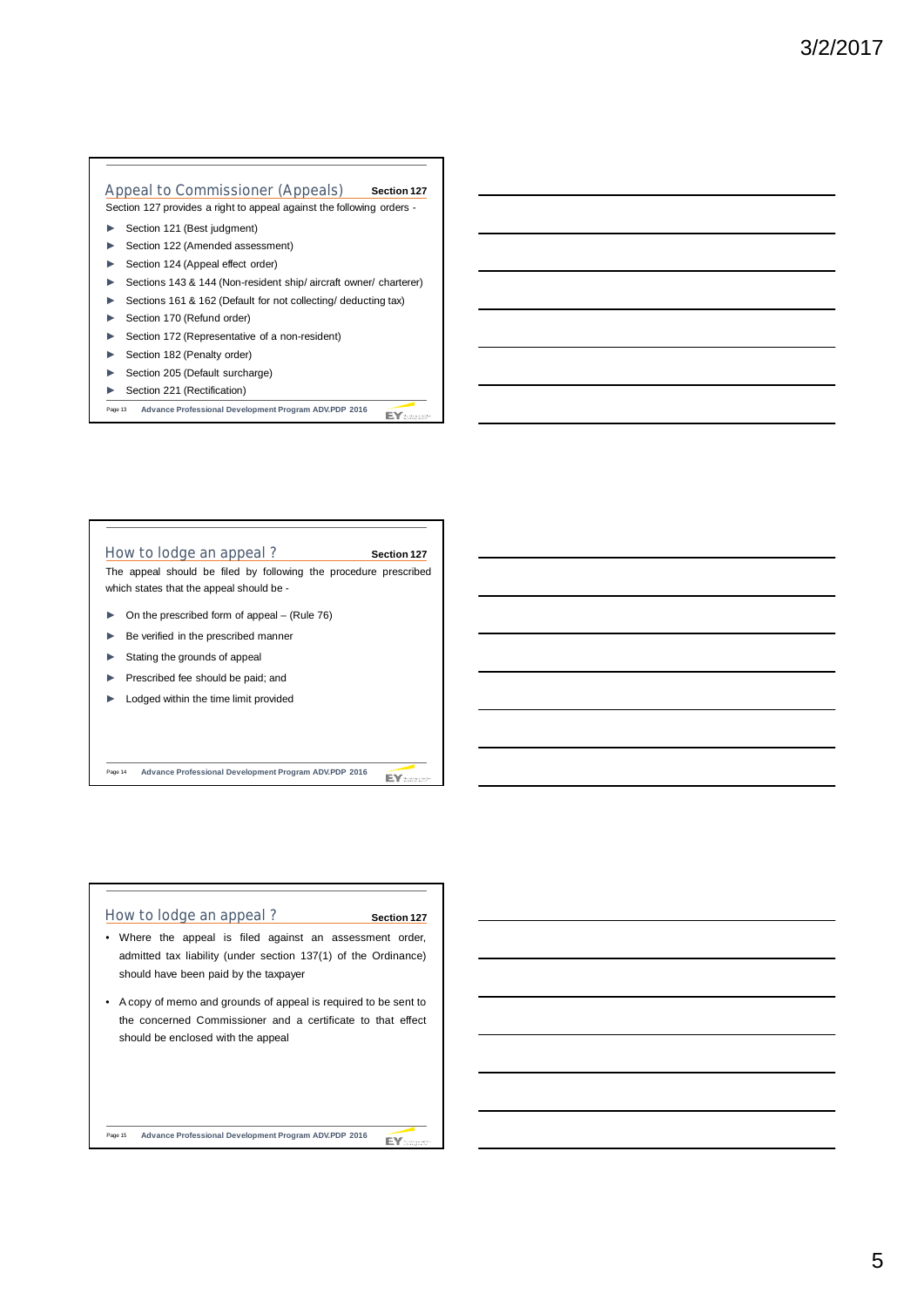#### **Appeal to Commissioner (Appeals) Section 127**

Section 127 provides a right to appeal against the following orders -

- ► Section 121 (Best judgment)
- ► Section 122 (Amended assessment)
- ► Section 124 (Appeal effect order)
- Sections 143 & 144 (Non-resident ship/ aircraft owner/ charterer)
- Sections 161 & 162 (Default for not collecting/ deducting tax)
- Section 170 (Refund order)
- ► Section 172 (Representative of a non-resident)
- ► Section 182 (Penalty order)
- ► Section 205 (Default surcharge)
- ► Section 221 (Rectification)
- Page 13 **Advance Professional Development Program ADV.PDP 2016** EY<sub>mas</sub>



Page 14 **Advance Professional Development Program ADV.PDP 2016**

EY:

## **How to lodge an appeal ?**

**Section 127**

EY:

- Where the appeal is filed against an assessment order, admitted tax liability (under section 137(1) of the Ordinance) should have been paid by the taxpayer
- A copy of memo and grounds of appeal is required to be sent to the concerned Commissioner and a certificate to that effect should be enclosed with the appeal

Page 15 **Advance Professional Development Program ADV.PDP 2016**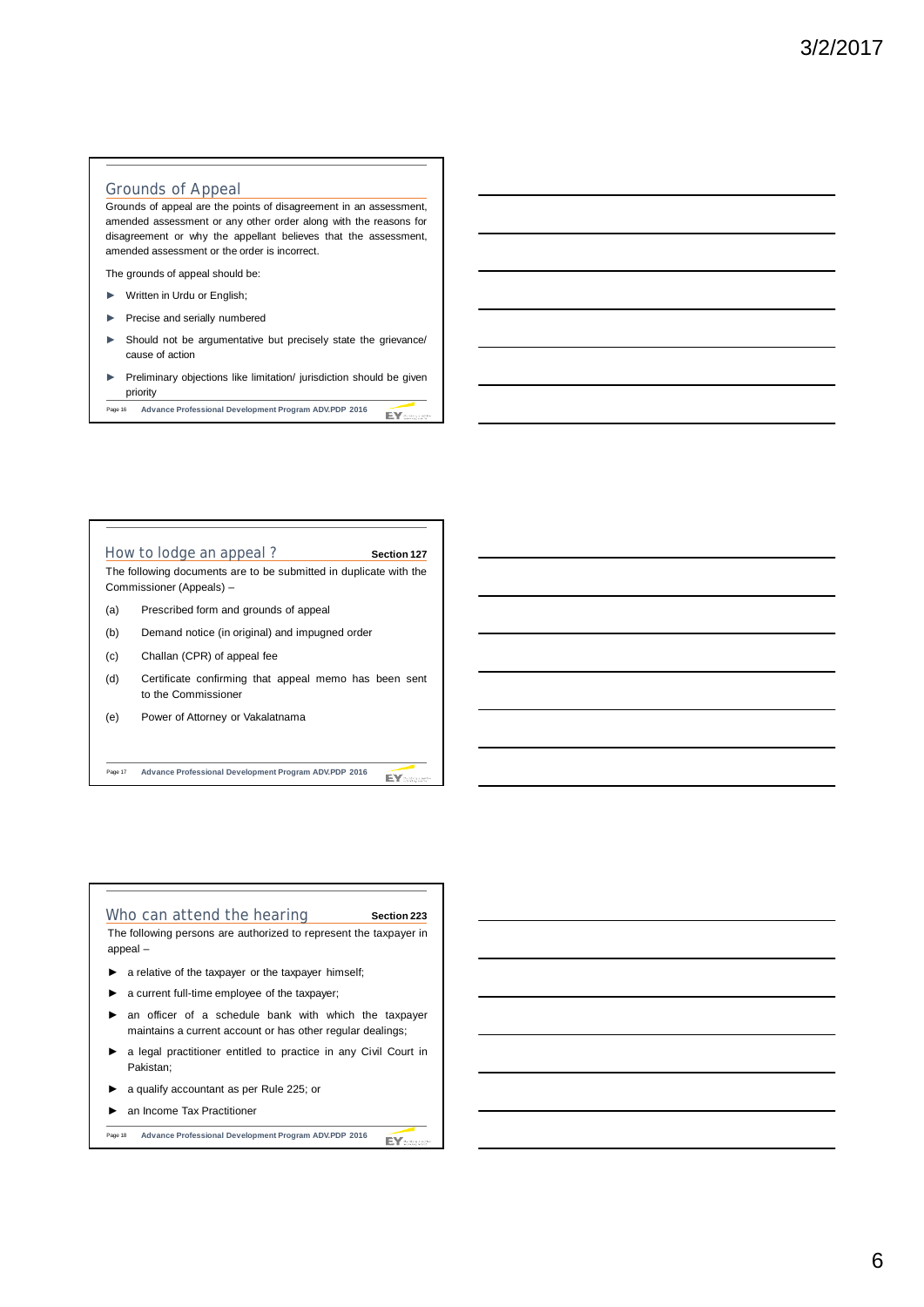### **Grounds of Appeal**

Grounds of appeal are the points of disagreement in an assessment, amended assessment or any other order along with the reasons for disagreement or why the appellant believes that the assessment, amended assessment or the order is incorrect.

The grounds of appeal should be:

- ► Written in Urdu or English;
- ► Precise and serially numbered
- Should not be argumentative but precisely state the grievance/ cause of action
- ► Preliminary objections like limitation/ jurisdiction should be given priority
- Page 16 **Advance Professional Development Program ADV.PDP 2016** EY<sub>500</sub>



#### Who can attend the hearing **Section 223**

The following persons are authorized to represent the taxpayer in appeal –

- ► a relative of the taxpayer or the taxpayer himself;
- ► a current full-time employee of the taxpayer;
- an officer of a schedule bank with which the taxpayer maintains a current account or has other regular dealings;
- ► a legal practitioner entitled to practice in any Civil Court in Pakistan;
- ► a qualify accountant as per Rule 225; or
- ► an Income Tax Practitioner

Page 18 **Advance Professional Development Program ADV.PDP 2016** EY: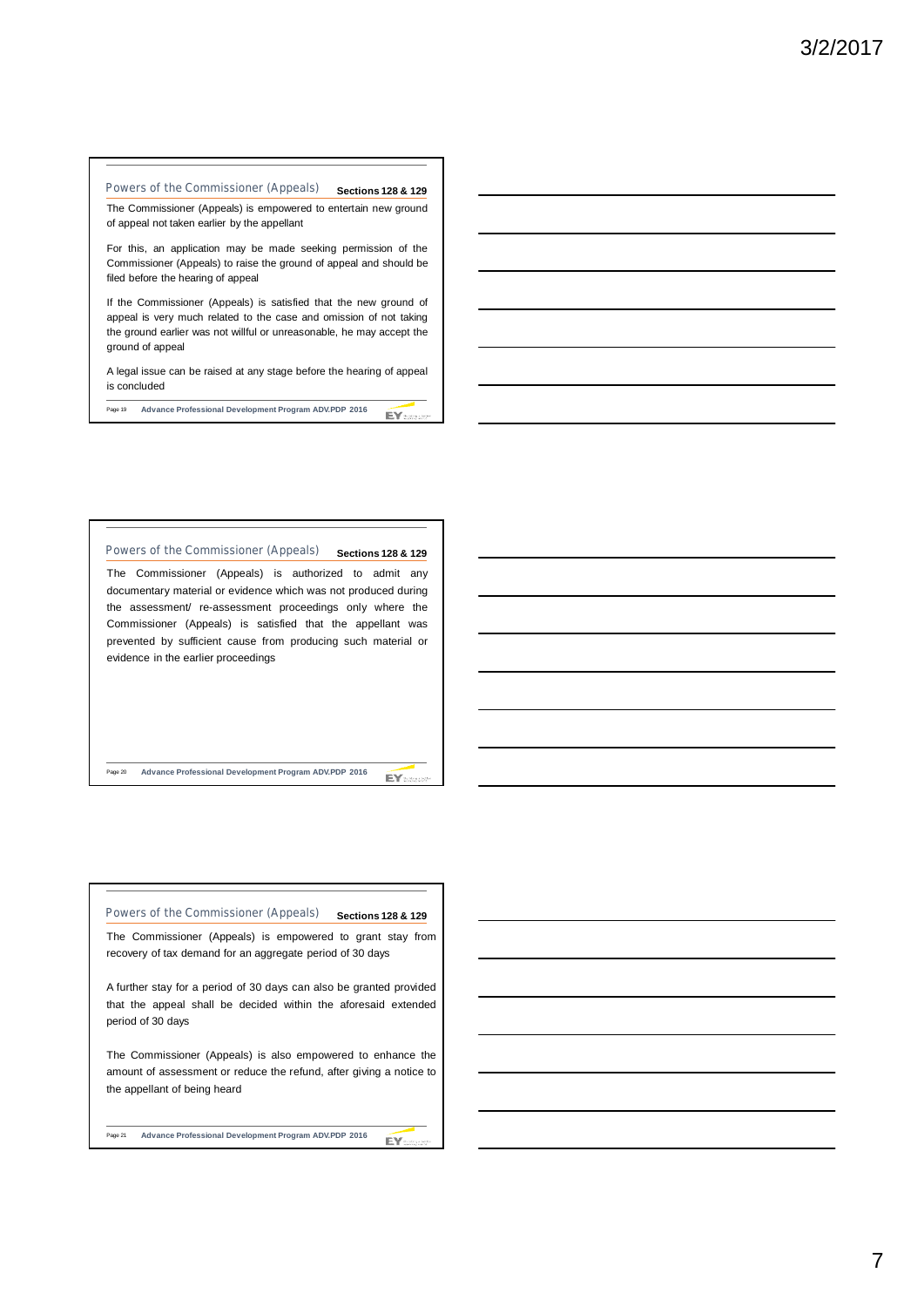## **Powers of the Commissioner (Appeals) Sections 128 & 129**

The Commissioner (Appeals) is empowered to entertain new ground of appeal not taken earlier by the appellant

For this, an application may be made seeking permission of the Commissioner (Appeals) to raise the ground of appeal and should be filed before the hearing of appeal

If the Commissioner (Appeals) is satisfied that the new ground of appeal is very much related to the case and omission of not taking the ground earlier was not willful or unreasonable, he may accept the ground of appeal

A legal issue can be raised at any stage before the hearing of appeal is concluded

Page 19 **Advance Professional Development Program ADV.PDP 2016** EY .......

## **Powers of the Commissioner (Appeals) Sections 128 & 129**

The Commissioner (Appeals) is authorized to admit any documentary material or evidence which was not produced during the assessment/ re-assessment proceedings only where the Commissioner (Appeals) is satisfied that the appellant was prevented by sufficient cause from producing such material or evidence in the earlier proceedings

Page 20 **Advance Professional Development Program ADV.PDP 2016**

EY-

# Powers of the Commissioner (Appeals) **Sections 128 & 129**

The Commissioner (Appeals) is empowered to grant stay from recovery of tax demand for an aggregate period of 30 days

A further stay for a period of 30 days can also be granted provided that the appeal shall be decided within the aforesaid extended period of 30 days

The Commissioner (Appeals) is also empowered to enhance the amount of assessment or reduce the refund, after giving a notice to the appellant of being heard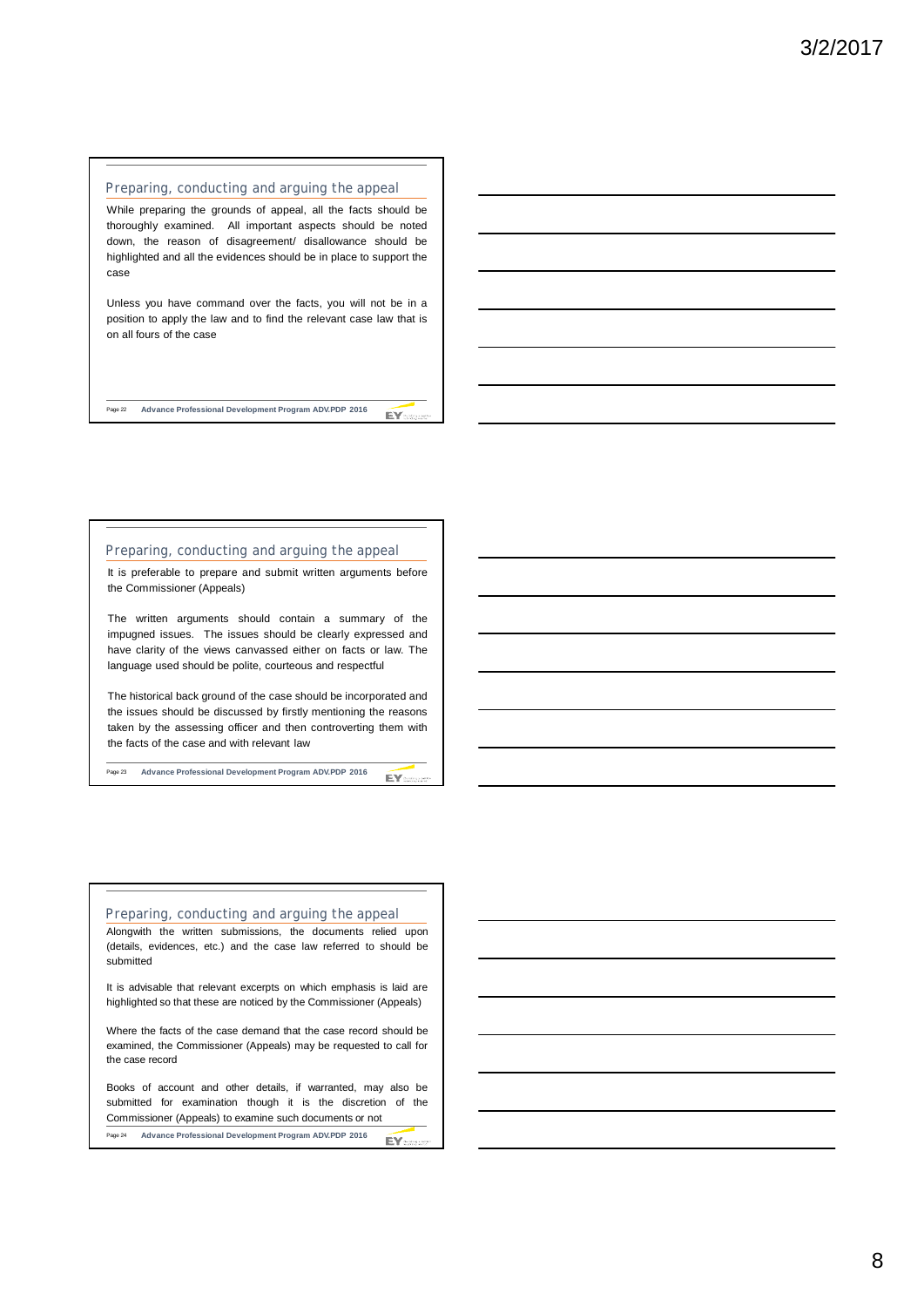#### **Preparing, conducting and arguing the appeal**

While preparing the grounds of appeal, all the facts should be thoroughly examined. All important aspects should be noted down, the reason of disagreement/ disallowance should be highlighted and all the evidences should be in place to support the case

Unless you have command over the facts, you will not be in a position to apply the law and to find the relevant case law that is on all fours of the case

Page 22 **Advance Professional Development Program ADV.PDP 2016** EY ...

#### **Preparing, conducting and arguing the appeal**

It is preferable to prepare and submit written arguments before the Commissioner (Appeals)

The written arguments should contain a summary of the impugned issues. The issues should be clearly expressed and have clarity of the views canvassed either on facts or law. The language used should be polite, courteous and respectful

The historical back ground of the case should be incorporated and the issues should be discussed by firstly mentioning the reasons taken by the assessing officer and then controverting them with the facts of the case and with relevant law

EY-

Page 23 **Advance Professional Development Program ADV.PDP 2016**

#### **Preparing, conducting and arguing the appeal**

Alongwith the written submissions, the documents relied upon (details, evidences, etc.) and the case law referred to should be submitted

It is advisable that relevant excerpts on which emphasis is laid are highlighted so that these are noticed by the Commissioner (Appeals)

Where the facts of the case demand that the case record should be examined, the Commissioner (Appeals) may be requested to call for the case record

Books of account and other details, if warranted, may also be submitted for examination though it is the discretion of the Commissioner (Appeals) to examine such documents or not Page 24 **Advance Professional Development Program ADV.PDP 2016** EY: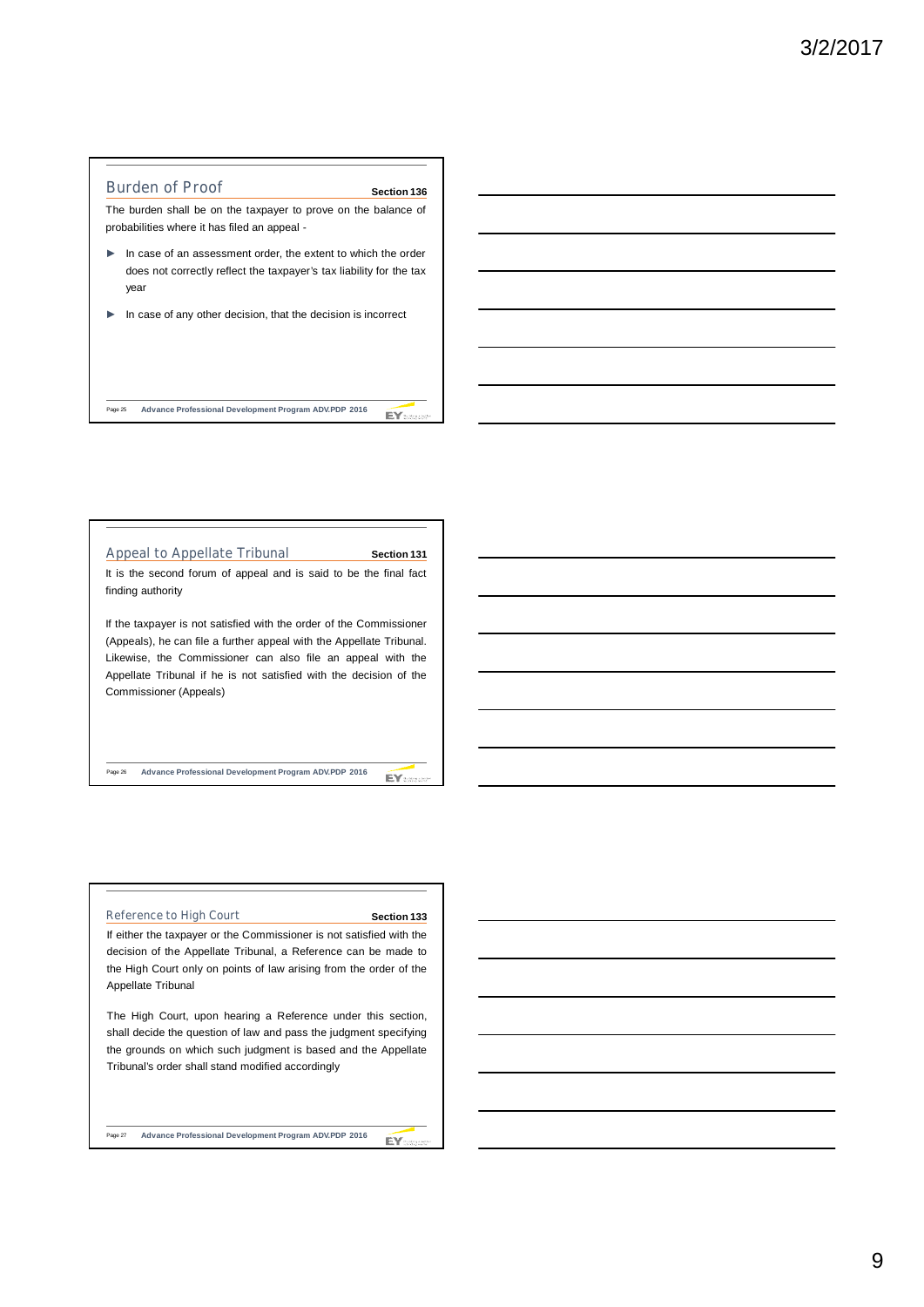

Page 25 **Advance Professional Development Program ADV.PDP 2016** EY ......

# **Appeal to Appellate Tribunal** It is the second forum of appeal and is said to be the final fact finding authority If the taxpayer is not satisfied with the order of the Commissioner (Appeals), he can file a further appeal with the Appellate Tribunal. Likewise, the Commissioner can also file an appeal with the Appellate Tribunal if he is not satisfied with the decision of the Commissioner (Appeals) **Section 131**

Page 26 **Advance Professional Development Program ADV.PDP 2016**

#### **Reference to High Court**

#### **Section 133**

EY

EY:

If either the taxpayer or the Commissioner is not satisfied with the decision of the Appellate Tribunal, a Reference can be made to the High Court only on points of law arising from the order of the Appellate Tribunal

The High Court, upon hearing a Reference under this section, shall decide the question of law and pass the judgment specifying the grounds on which such judgment is based and the Appellate Tribunal's order shall stand modified accordingly

Page 27 **Advance Professional Development Program ADV.PDP 2016**